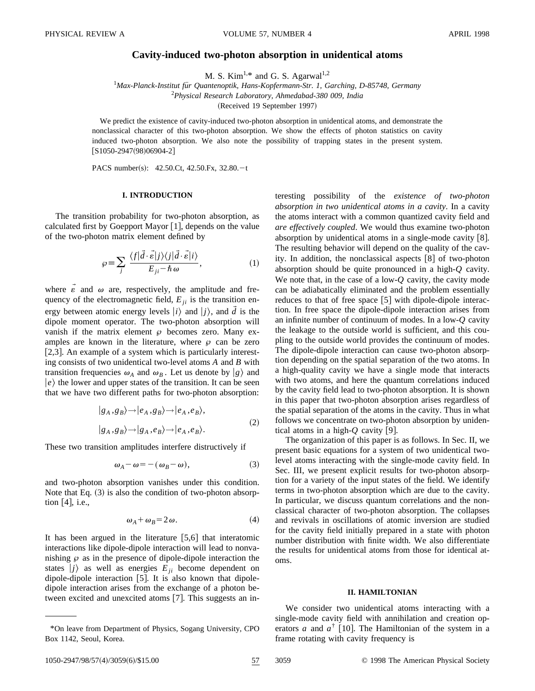# **Cavity-induced two-photon absorption in unidentical atoms**

M. S. Kim<sup>1,\*</sup> and G. S. Agarwal<sup>1,2</sup>

<sup>1</sup>Max-Planck-Institut für Quantenoptik, Hans-Kopfermann-Str. 1, Garching, D-85748, Germany 2 *Physical Research Laboratory, Ahmedabad-380 009, India* (Received 19 September 1997)

We predict the existence of cavity-induced two-photon absorption in unidentical atoms, and demonstrate the nonclassical character of this two-photon absorption. We show the effects of photon statistics on cavity induced two-photon absorption. We also note the possibility of trapping states in the present system.  $[S1050-2947(98)06904-2]$ 

PACS number(s):  $42.50 \text{C}t$ ,  $42.50 \text{F}x$ ,  $32.80 \text{C}t$ 

## **I. INTRODUCTION**

The transition probability for two-photon absorption, as calculated first by Goepport Mayor  $[1]$ , depends on the value of the two-photon matrix element defined by

$$
\wp \equiv \sum_{j} \frac{\langle f | \vec{d} \cdot \vec{\epsilon} | j \rangle \langle j | \vec{d} \cdot \vec{\epsilon} | i \rangle}{E_{ji} - \hbar \omega}, \tag{1}
$$

where  $\varepsilon$  and  $\omega$  are, respectively, the amplitude and frequency of the electromagnetic field,  $E_{ii}$  is the transition energy between atomic energy levels  $|i\rangle$  and  $j\rangle$ , and  $\vec{d}$  is the dipole moment operator. The two-photon absorption will vanish if the matrix element  $\wp$  becomes zero. Many examples are known in the literature, where  $\varphi$  can be zero [ $2,3$ ]. An example of a system which is particularly interesting consists of two unidentical two-level atoms *A* and *B* with transition frequencies  $\omega_A$  and  $\omega_B$ . Let us denote by  $|g\rangle$  and  $|e\rangle$  the lower and upper states of the transition. It can be seen that we have two different paths for two-photon absorption:

$$
|g_A, g_B\rangle \rightarrow |e_A, g_B\rangle \rightarrow |e_A, e_B\rangle,
$$
  

$$
|g_A, g_B\rangle \rightarrow |g_A, e_B\rangle \rightarrow |e_A, e_B\rangle.
$$
 (2)

These two transition amplitudes interfere distructively if

$$
\omega_A - \omega = -(\omega_B - \omega),\tag{3}
$$

and two-photon absorption vanishes under this condition. Note that Eq.  $(3)$  is also the condition of two-photon absorption  $[4]$ , i.e.,

$$
\omega_A + \omega_B = 2\,\omega.\tag{4}
$$

It has been argued in the literature  $[5,6]$  that interatomic interactions like dipole-dipole interaction will lead to nonvanishing  $\wp$  as in the presence of dipole-dipole interaction the states  $|j\rangle$  as well as energies  $E_{ii}$  become dependent on dipole-dipole interaction [5]. It is also known that dipoledipole interaction arises from the exchange of a photon between excited and unexcited atoms  $[7]$ . This suggests an interesting possibility of the *existence of two-photon absorption in two unidentical atoms in a cavity*. In a cavity the atoms interact with a common quantized cavity field and *are effectively coupled*. We would thus examine two-photon absorption by unidentical atoms in a single-mode cavity  $[8]$ . The resulting behavior will depend on the quality of the cavity. In addition, the nonclassical aspects  $[8]$  of two-photon absorption should be quite pronounced in a high-*Q* cavity. We note that, in the case of a low-*Q* cavity, the cavity mode can be adiabatically eliminated and the problem essentially reduces to that of free space  $[5]$  with dipole-dipole interaction. In free space the dipole-dipole interaction arises from an infinite number of continuum of modes. In a low-*Q* cavity the leakage to the outside world is sufficient, and this coupling to the outside world provides the continuum of modes. The dipole-dipole interaction can cause two-photon absorption depending on the spatial separation of the two atoms. In a high-quality cavity we have a single mode that interacts with two atoms, and here the quantum correlations induced by the cavity field lead to two-photon absorption. It is shown in this paper that two-photon absorption arises regardless of the spatial separation of the atoms in the cavity. Thus in what follows we concentrate on two-photon absorption by unidentical atoms in a high- $Q$  cavity [9].

The organization of this paper is as follows. In Sec. II, we present basic equations for a system of two unidentical twolevel atoms interacting with the single-mode cavity field. In Sec. III, we present explicit results for two-photon absorption for a variety of the input states of the field. We identify terms in two-photon absorption which are due to the cavity. In particular, we discuss quantum correlations and the nonclassical character of two-photon absorption. The collapses and revivals in oscillations of atomic inversion are studied for the cavity field initially prepared in a state with photon number distribution with finite width. We also differentiate the results for unidentical atoms from those for identical atoms.

### **II. HAMILTONIAN**

We consider two unidentical atoms interacting with a single-mode cavity field with annihilation and creation operators *a* and  $a^{\dagger}$  [10]. The Hamiltonian of the system in a frame rotating with cavity frequency is

1050-2947/98/57(4)/3059(6)/\$15.00 57 3059 © 1998 The American Physical Society

<sup>\*</sup>On leave from Department of Physics, Sogang University, CPO Box 1142, Seoul, Korea.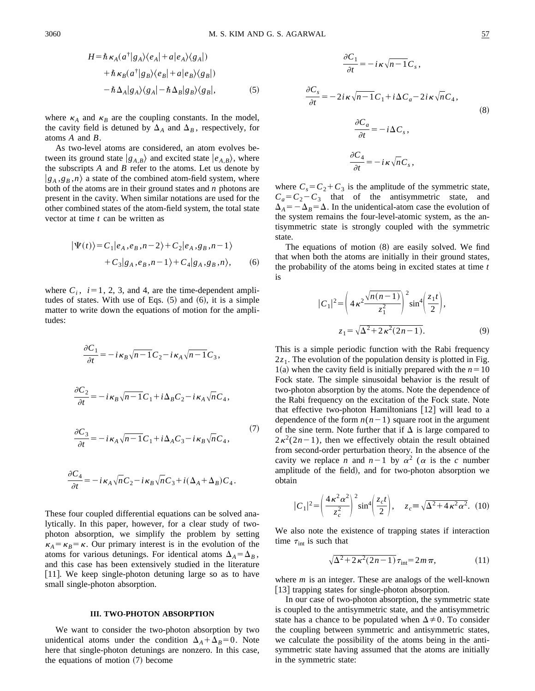]*Cs*

$$
H = \hbar \kappa_A (a^{\dagger} |g_A\rangle\langle e_A| + a |e_A\rangle\langle g_A|)
$$
  
+  $\hbar \kappa_B (a^{\dagger} |g_B\rangle\langle e_B| + a |e_B\rangle\langle g_B|)$   
-  $\hbar \Delta_A |g_A\rangle\langle g_A| - \hbar \Delta_B |g_B\rangle\langle g_B|,$  (5)

where  $\kappa_A$  and  $\kappa_B$  are the coupling constants. In the model, the cavity field is detuned by  $\Delta_A$  and  $\Delta_B$ , respectively, for atoms *A* and *B*.

As two-level atoms are considered, an atom evolves between its ground state  $|g_{A,B}\rangle$  and excited state  $|e_{A,B}\rangle$ , where the subscripts *A* and *B* refer to the atoms. Let us denote by  $|g_A, g_B, n\rangle$  a state of the combined atom-field system, where both of the atoms are in their ground states and *n* photons are present in the cavity. When similar notations are used for the other combined states of the atom-field system, the total state vector at time *t* can be written as

$$
|\Psi(t)\rangle = C_1|e_A, e_B, n-2\rangle + C_2|e_A, g_B, n-1\rangle
$$
  
+ 
$$
C_3|g_A, e_B, n-1\rangle + C_4|g_A, g_B, n\rangle, \qquad (6)
$$

where  $C_i$ ,  $i=1, 2, 3$ , and 4, are the time-dependent amplitudes of states. With use of Eqs.  $(5)$  and  $(6)$ , it is a simple matter to write down the equations of motion for the amplitudes:

$$
\frac{\partial C_1}{\partial t} = -i\kappa_B \sqrt{n-1} C_2 - i\kappa_A \sqrt{n-1} C_3,
$$
  

$$
\frac{\partial C_2}{\partial t} = -i\kappa_B \sqrt{n-1} C_1 + i\Delta_B C_2 - i\kappa_A \sqrt{n} C_4,
$$
  

$$
\frac{\partial C_3}{\partial t} = -i\kappa_A \sqrt{n-1} C_1 + i\Delta_A C_3 - i\kappa_B \sqrt{n} C_4,
$$
 (7)

$$
\frac{\partial C_4}{\partial t} = -i\kappa_A \sqrt{n} C_2 - i\kappa_B \sqrt{n} C_3 + i(\Delta_A + \Delta_B) C_4.
$$

These four coupled differential equations can be solved analytically. In this paper, however, for a clear study of twophoton absorption, we simplify the problem by setting  $\kappa_A = \kappa_B = \kappa$ . Our primary interest is in the evolution of the atoms for various detunings. For identical atoms  $\Delta_A = \Delta_B$ , and this case has been extensively studied in the literature [11]. We keep single-photon detuning large so as to have small single-photon absorption.

### **III. TWO-PHOTON ABSORPTION**

We want to consider the two-photon absorption by two unidentical atoms under the condition  $\Delta_A + \Delta_B = 0$ . Note here that single-photon detunings are nonzero. In this case, the equations of motion  $(7)$  become

$$
\frac{\partial C_1}{\partial t} = -i\kappa \sqrt{n-1} C_s,
$$
  

$$
\frac{\partial C_s}{\partial t} = -2i\kappa \sqrt{n-1} C_1 + i\Delta C_a - 2i\kappa \sqrt{n} C_4,
$$
  

$$
\frac{\partial C_a}{\partial t} = -i\Delta C_s,
$$
  

$$
\frac{\partial C_4}{\partial t} = -i\kappa \sqrt{n} C_s,
$$
  
(8)

where  $C_s = C_2 + C_3$  is the amplitude of the symmetric state,  $C_a = C_2 - C_3$  that of the antisymmetric state, and  $\Delta_A = -\Delta_B = \Delta$ . In the unidentical-atom case the evolution of the system remains the four-level-atomic system, as the antisymmetric state is strongly coupled with the symmetric state.

The equations of motion  $(8)$  are easily solved. We find that when both the atoms are initially in their ground states, the probability of the atoms being in excited states at time *t* is

$$
|C_1|^2 = \left(4\kappa^2 \frac{\sqrt{n(n-1)}}{z_1^2}\right)^2 \sin^4 \left(\frac{z_1 t}{2}\right),
$$
  

$$
z_1 = \sqrt{\Delta^2 + 2\kappa^2 (2n-1)}.
$$
 (9)

This is a simple periodic function with the Rabi frequency  $2z<sub>1</sub>$ . The evolution of the population density is plotted in Fig. 1(a) when the cavity field is initially prepared with the  $n=10$ Fock state. The simple sinusoidal behavior is the result of two-photon absorption by the atoms. Note the dependence of the Rabi frequency on the excitation of the Fock state. Note that effective two-photon Hamiltonians  $|12|$  will lead to a dependence of the form  $n(n-1)$  square root in the argument of the sine term. Note further that if  $\Delta$  is large compared to  $2\kappa^2(2n-1)$ , then we effectively obtain the result obtained from second-order perturbation theory. In the absence of the cavity we replace *n* and  $n-1$  by  $\alpha^2$  ( $\alpha$  is the *c* number amplitude of the field), and for two-photon absorption we obtain

$$
|C_1|^2 = \left(\frac{4\kappa^2 \alpha^2}{z_c^2}\right)^2 \sin^4\left(\frac{z_c t}{2}\right), \quad z_c \equiv \sqrt{\Delta^2 + 4\kappa^2 \alpha^2}.\tag{10}
$$

We also note the existence of trapping states if interaction time  $\tau_{\text{int}}$  is such that

$$
\sqrt{\Delta^2 + 2\kappa^2 (2n-1)} \tau_{\text{int}} = 2m\,\pi,\tag{11}
$$

where *m* is an integer. These are analogs of the well-known [13] trapping states for single-photon absorption.

In our case of two-photon absorption, the symmetric state is coupled to the antisymmetric state, and the antisymmetric state has a chance to be populated when  $\Delta \neq 0$ . To consider the coupling between symmetric and antisymmetric states, we calculate the possibility of the atoms being in the antisymmetric state having assumed that the atoms are initially in the symmetric state: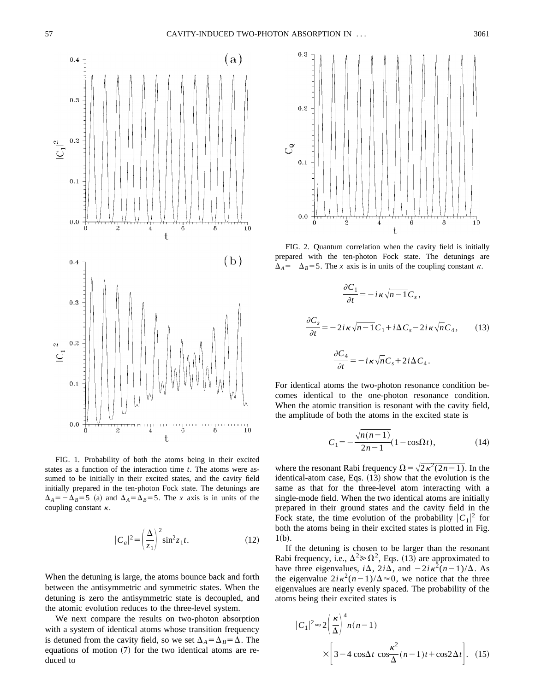

FIG. 1. Probability of both the atoms being in their excited states as a function of the interaction time *t*. The atoms were assumed to be initially in their excited states, and the cavity field initially prepared in the ten-photon Fock state. The detunings are  $\Delta_A = -\Delta_B = 5$  (a) and  $\Delta_A = \Delta_B = 5$ . The *x* axis is in units of the coupling constant  $\kappa$ .

$$
|C_a|^2 = \left(\frac{\Delta}{z_1}\right)^2 \sin^2 z_1 t. \tag{12}
$$

When the detuning is large, the atoms bounce back and forth between the antisymmetric and symmetric states. When the detuning is zero the antisymmetric state is decoupled, and the atomic evolution reduces to the three-level system.

We next compare the results on two-photon absorption with a system of identical atoms whose transition frequency is detuned from the cavity field, so we set  $\Delta_A = \Delta_B = \Delta$ . The equations of motion  $(7)$  for the two identical atoms are reduced to



FIG. 2. Quantum correlation when the cavity field is initially prepared with the ten-photon Fock state. The detunings are  $\Delta_A = -\Delta_B = 5$ . The *x* axis is in units of the coupling constant  $\kappa$ .

$$
\frac{\partial C_1}{\partial t} = -i\kappa \sqrt{n-1} C_s,
$$
  

$$
\frac{\partial C_s}{\partial t} = -2i\kappa \sqrt{n-1} C_1 + i\Delta C_s - 2i\kappa \sqrt{n} C_4,
$$
 (13)  

$$
\frac{\partial C_4}{\partial t} = -i\kappa \sqrt{n} C_s + 2i\Delta C_4.
$$

For identical atoms the two-photon resonance condition becomes identical to the one-photon resonance condition. When the atomic transition is resonant with the cavity field, the amplitude of both the atoms in the excited state is

$$
C_1 = -\frac{\sqrt{n(n-1)}}{2n-1}(1 - \cos\Omega t),
$$
 (14)

where the resonant Rabi frequency  $\Omega = \sqrt{2\kappa^2(2n-1)}$ . In the identical-atom case, Eqs.  $(13)$  show that the evolution is the same as that for the three-level atom interacting with a single-mode field. When the two identical atoms are initially prepared in their ground states and the cavity field in the Fock state, the time evolution of the probability  $|C_1|^2$  for both the atoms being in their excited states is plotted in Fig.  $1(b).$ 

If the detuning is chosen to be larger than the resonant Rabi frequency, i.e.,  $\Delta^2 \gg \Omega^2$ , Eqs. (13) are approximated to have three eigenvalues,  $i\Delta$ ,  $2i\overline{\Delta}$ , and  $-2i\overline{k^2(n-1)}/\Delta$ . As the eigenvalue  $2i\kappa^2(n-1)/\Delta \approx 0$ , we notice that the three eigenvalues are nearly evenly spaced. The probability of the atoms being their excited states is

$$
|C_1|^2 \approx 2\left(\frac{\kappa}{\Delta}\right)^4 n(n-1)
$$
  
 
$$
\times \left[3 - 4\cos\Delta t \cos\frac{\kappa^2}{\Delta}(n-1)t + \cos 2\Delta t\right].
$$
 (15)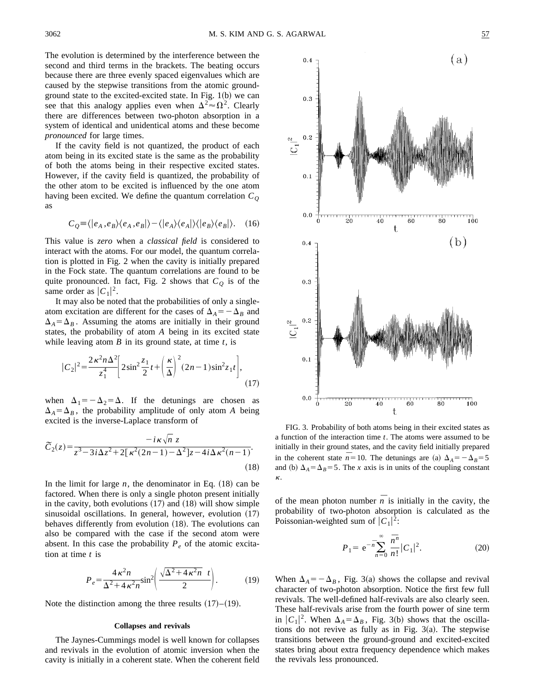The evolution is determined by the interference between the second and third terms in the brackets. The beating occurs because there are three evenly spaced eigenvalues which are caused by the stepwise transitions from the atomic groundground state to the excited-excited state. In Fig.  $1(b)$  we can see that this analogy applies even when  $\Delta^2 \approx \Omega^2$ . Clearly there are differences between two-photon absorption in a system of identical and unidentical atoms and these become *pronounced* for large times.

If the cavity field is not quantized, the product of each atom being in its excited state is the same as the probability of both the atoms being in their respective excited states. However, if the cavity field is quantized, the probability of the other atom to be excited is influenced by the one atom having been excited. We define the quantum correlation  $C<sub>Q</sub>$ as

$$
C_{Q} \equiv \langle |e_{A}, e_{B}\rangle \langle e_{A}, e_{B}| \rangle - \langle |e_{A}\rangle \langle e_{A}| \rangle \langle |e_{B}\rangle \langle e_{B}| \rangle. \quad (16)
$$

This value is *zero* when a *classical field* is considered to interact with the atoms. For our model, the quantum correlation is plotted in Fig. 2 when the cavity is initially prepared in the Fock state. The quantum correlations are found to be quite pronounced. In fact, Fig. 2 shows that  $C_Q$  is of the same order as  $|C_1|^2$ .

It may also be noted that the probabilities of only a singleatom excitation are different for the cases of  $\Delta_A = -\Delta_B$  and  $\Delta_A = \Delta_B$ . Assuming the atoms are initially in their ground states, the probability of atom *A* being in its excited state while leaving atom *B* in its ground state, at time *t*, is

$$
|C_2|^2 = \frac{2\kappa^2 n \Delta^2}{z_1^4} \left[ 2\sin^2 \frac{z_1}{2} t + \left(\frac{\kappa}{\Delta}\right)^2 (2n - 1)\sin^2 z_1 t \right],\tag{17}
$$

when  $\Delta_1 = -\Delta_2 = \Delta$ . If the detunings are chosen as  $\Delta_A = \Delta_B$ , the probability amplitude of only atom *A* being excited is the inverse-Laplace transform of

$$
\widetilde{C}_2(z) = \frac{-i\kappa\sqrt{n} z}{z^3 - 3i\Delta z^2 + 2[\kappa^2(2n-1) - \Delta^2]z - 4i\Delta\kappa^2(n-1)}.
$$
\n(18)

In the limit for large  $n$ , the denominator in Eq.  $(18)$  can be factored. When there is only a single photon present initially in the cavity, both evolutions  $(17)$  and  $(18)$  will show simple sinusoidal oscillations. In general, however, evolution  $(17)$ behaves differently from evolution  $(18)$ . The evolutions can also be compared with the case if the second atom were absent. In this case the probability  $P_e$  of the atomic excitation at time *t* is

$$
P_e = \frac{4\,\kappa^2 n}{\Delta^2 + 4\,\kappa^2 n} \sin^2\!\left(\frac{\sqrt{\Delta^2 + 4\,\kappa^2 n} \ t}{2}\right). \tag{19}
$$

Note the distinction among the three results  $(17)–(19)$ .

### **Collapses and revivals**

The Jaynes-Cummings model is well known for collapses and revivals in the evolution of atomic inversion when the cavity is initially in a coherent state. When the coherent field





FIG. 3. Probability of both atoms being in their excited states as a function of the interaction time *t*. The atoms were assumed to be initially in their ground states, and the cavity field initially prepared in the coherent state  $n=10$ . The detunings are (a)  $\Delta_A = -\Delta_B = 5$ and (b)  $\Delta_A = \Delta_B = 5$ . The *x* axis is in units of the coupling constant k.

of the mean photon number  $\overline{n}$  is initially in the cavity, the probability of two-photon absorption is calculated as the Poissonian-weighted sum of  $|C_1|^2$ :

$$
P_1 = e^{-\overline{n}} \sum_{n=0}^{\infty} \frac{\overline{n}^n}{n!} |C_1|^2.
$$
 (20)

When  $\Delta_A = -\Delta_B$ , Fig. 3(a) shows the collapse and revival character of two-photon absorption. Notice the first few full revivals. The well-defined half-revivals are also clearly seen. These half-revivals arise from the fourth power of sine term in  $|C_1|^2$ . When  $\Delta_A = \Delta_B$ , Fig. 3(b) shows that the oscillations do not revive as fully as in Fig.  $3(a)$ . The stepwise transitions between the ground-ground and excited-excited states bring about extra frequency dependence which makes the revivals less pronounced.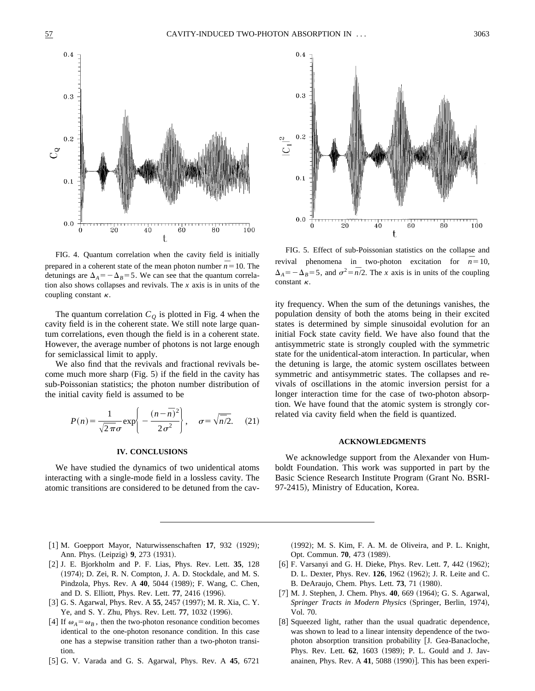

FIG. 4. Quantum correlation when the cavity field is initially prepared in a coherent state of the mean photon number  $n = 10$ . The detunings are  $\Delta_A = -\Delta_B = 5$ . We can see that the quantum correlation also shows collapses and revivals. The *x* axis is in units of the coupling constant  $\kappa$ .

The quantum correlation  $C_Q$  is plotted in Fig. 4 when the cavity field is in the coherent state. We still note large quantum correlations, even though the field is in a coherent state. However, the average number of photons is not large enough for semiclassical limit to apply.

We also find that the revivals and fractional revivals become much more sharp  $(Fig. 5)$  if the field in the cavity has sub-Poissonian statistics; the photon number distribution of the initial cavity field is assumed to be

$$
P(n) = \frac{1}{\sqrt{2\pi}\sigma} \exp\left(-\frac{(n-\bar{n})^2}{2\sigma^2}\right), \quad \sigma = \sqrt{\bar{n}/2}. \quad (21)
$$

## **IV. CONCLUSIONS**

We have studied the dynamics of two unidentical atoms interacting with a single-mode field in a lossless cavity. The atomic transitions are considered to be detuned from the cav-



FIG. 5. Effect of sub-Poissonian statistics on the collapse and revival phenomena in two-photon excitation for  $n = 10$ ,  $\Delta_A = -\Delta_B = 5$ , and  $\sigma^2 = \overline{n}/2$ . The *x* axis is in units of the coupling constant  $\kappa$ .

ity frequency. When the sum of the detunings vanishes, the population density of both the atoms being in their excited states is determined by simple sinusoidal evolution for an initial Fock state cavity field. We have also found that the antisymmetric state is strongly coupled with the symmetric state for the unidentical-atom interaction. In particular, when the detuning is large, the atomic system oscillates between symmetric and antisymmetric states. The collapses and revivals of oscillations in the atomic inversion persist for a longer interaction time for the case of two-photon absorption. We have found that the atomic system is strongly correlated via cavity field when the field is quantized.

## **ACKNOWLEDGMENTS**

We acknowledge support from the Alexander von Humboldt Foundation. This work was supported in part by the Basic Science Research Institute Program (Grant No. BSRI-97-2415), Ministry of Education, Korea.

- [1] M. Goepport Mayor, Naturwissenschaften 17, 932 (1929); Ann. Phys. (Leipzig) **9**, 273 (1931).
- @2# J. E. Bjorkholm and P. F. Lias, Phys. Rev. Lett. **35**, 128 (1974); D. Zei, R. N. Compton, J. A. D. Stockdale, and M. S. Pindzola, Phys. Rev. A 40, 5044 (1989); F. Wang, C. Chen, and D. S. Elliott, Phys. Rev. Lett. **77**, 2416 (1996).
- [3] G. S. Agarwal, Phys. Rev. A 55, 2457 (1997); M. R. Xia, C. Y. Ye, and S. Y. Zhu, Phys. Rev. Lett. **77**, 1032 (1996).
- [4] If  $\omega_A = \omega_B$ , then the two-photon resonance condition becomes identical to the one-photon resonance condition. In this case one has a stepwise transition rather than a two-photon transition.
- @5# G. V. Varada and G. S. Agarwal, Phys. Rev. A **45**, 6721

(1992); M. S. Kim, F. A. M. de Oliveira, and P. L. Knight, Opt. Commun. **70**, 473 (1989).

- [6] F. Varsanyi and G. H. Dieke, Phys. Rev. Lett. 7, 442 (1962); D. L. Dexter, Phys. Rev. 126, 1962 (1962); J. R. Leite and C. B. DeAraujo, Chem. Phys. Lett. **73**, 71 (1980).
- [7] M. J. Stephen, J. Chem. Phys. **40**, 669 (1964); G. S. Agarwal, *Springer Tracts in Modern Physics* (Springer, Berlin, 1974), Vol. 70.
- [8] Squeezed light, rather than the usual quadratic dependence, was shown to lead to a linear intensity dependence of the twophoton absorption transition probability [J. Gea-Banacloche, Phys. Rev. Lett. **62**, 1603 (1989); P. L. Gould and J. Javanainen, Phys. Rev. A  $41$ , 5088  $(1990)$ ]. This has been experi-